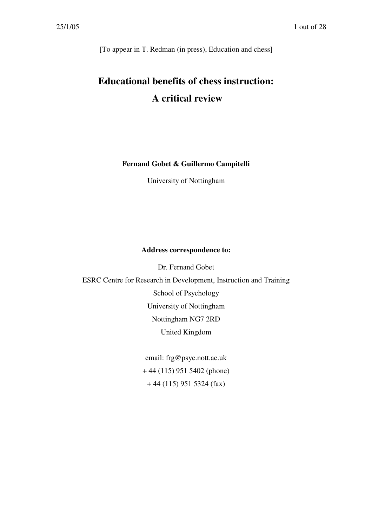[To appear in T. Redman (in press), Education and chess]

# **Educational benefits of chess instruction: A critical review**

**Fernand Gobet & Guillermo Campitelli**

University of Nottingham

#### **Address correspondence to:**

Dr. Fernand Gobet ESRC Centre for Research in Development, Instruction and Training School of Psychology University of Nottingham Nottingham NG7 2RD United Kingdom

> email: frg@psyc.nott.ac.uk + 44 (115) 951 5402 (phone) + 44 (115) 951 5324 (fax)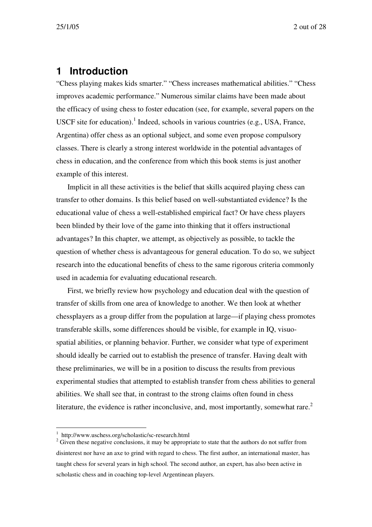### **1 Introduction**

"Chess playing makes kids smarter." "Chess increases mathematical abilities." "Chess improves academic performance." Numerous similar claims have been made about the efficacy of using chess to foster education (see, for example, several papers on the USCF site for education).<sup>1</sup> Indeed, schools in various countries (e.g., USA, France, Argentina) offer chess as an optional subject, and some even propose compulsory classes. There is clearly a strong interest worldwide in the potential advantages of chess in education, and the conference from which this book stems is just another example of this interest.

Implicit in all these activities is the belief that skills acquired playing chess can transfer to other domains. Is this belief based on well-substantiated evidence? Is the educational value of chess a well-established empirical fact? Or have chess players been blinded by their love of the game into thinking that it offers instructional advantages? In this chapter, we attempt, as objectively as possible, to tackle the question of whether chess is advantageous for general education. To do so, we subject research into the educational benefits of chess to the same rigorous criteria commonly used in academia for evaluating educational research.

First, we briefly review how psychology and education deal with the question of transfer of skills from one area of knowledge to another. We then look at whether chessplayers as a group differ from the population at large—if playing chess promotes transferable skills, some differences should be visible, for example in IQ, visuospatial abilities, or planning behavior. Further, we consider what type of experiment should ideally be carried out to establish the presence of transfer. Having dealt with these preliminaries, we will be in a position to discuss the results from previous experimental studies that attempted to establish transfer from chess abilities to general abilities. We shall see that, in contrast to the strong claims often found in chess literature, the evidence is rather inconclusive, and, most importantly, somewhat rare. $2$ 

<sup>1</sup> http://www.uschess.org/scholastic/sc-research.html

<sup>&</sup>lt;sup>2</sup> Given these negative conclusions, it may be appropriate to state that the authors do not suffer from disinterest nor have an axe to grind with regard to chess. The first author, an international master, has taught chess for several years in high school. The second author, an expert, has also been active in scholastic chess and in coaching top-level Argentinean players.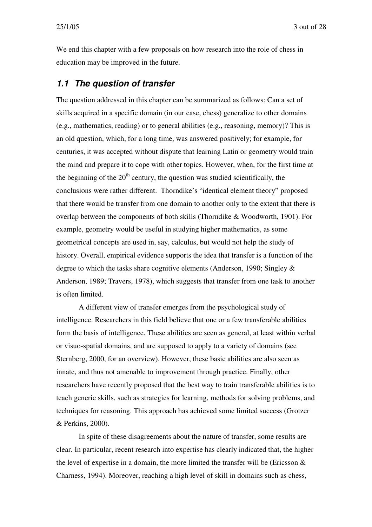We end this chapter with a few proposals on how research into the role of chess in education may be improved in the future.

### *1.1 The question of transfer*

The question addressed in this chapter can be summarized as follows: Can a set of skills acquired in a specific domain (in our case, chess) generalize to other domains (e.g., mathematics, reading) or to general abilities (e.g., reasoning, memory)? This is an old question, which, for a long time, was answered positively; for example, for centuries, it was accepted without dispute that learning Latin or geometry would train the mind and prepare it to cope with other topics. However, when, for the first time at the beginning of the  $20<sup>th</sup>$  century, the question was studied scientifically, the conclusions were rather different. Thorndike's "identical element theory" proposed that there would be transfer from one domain to another only to the extent that there is overlap between the components of both skills (Thorndike & Woodworth, 1901). For example, geometry would be useful in studying higher mathematics, as some geometrical concepts are used in, say, calculus, but would not help the study of history. Overall, empirical evidence supports the idea that transfer is a function of the degree to which the tasks share cognitive elements (Anderson, 1990; Singley & Anderson, 1989; Travers, 1978), which suggests that transfer from one task to another is often limited.

A different view of transfer emerges from the psychological study of intelligence. Researchers in this field believe that one or a few transferable abilities form the basis of intelligence. These abilities are seen as general, at least within verbal or visuo-spatial domains, and are supposed to apply to a variety of domains (see Sternberg, 2000, for an overview). However, these basic abilities are also seen as innate, and thus not amenable to improvement through practice. Finally, other researchers have recently proposed that the best way to train transferable abilities is to teach generic skills, such as strategies for learning, methods for solving problems, and techniques for reasoning. This approach has achieved some limited success (Grotzer & Perkins, 2000).

In spite of these disagreements about the nature of transfer, some results are clear. In particular, recent research into expertise has clearly indicated that, the higher the level of expertise in a domain, the more limited the transfer will be (Ericsson & Charness, 1994). Moreover, reaching a high level of skill in domains such as chess,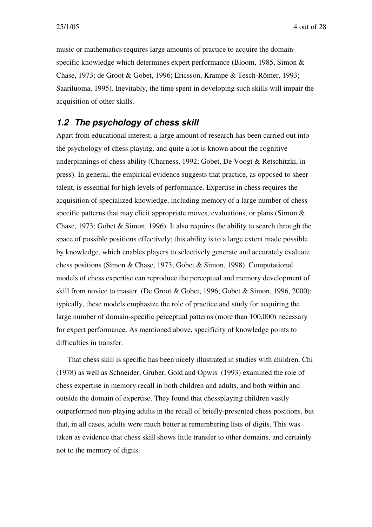music or mathematics requires large amounts of practice to acquire the domainspecific knowledge which determines expert performance (Bloom, 1985, Simon & Chase, 1973; de Groot & Gobet, 1996; Ericsson, Krampe & Tesch-Römer, 1993; Saariluoma, 1995). Inevitably, the time spent in developing such skills will impair the acquisition of other skills.

### *1.2 The psychology of chess skill*

Apart from educational interest, a large amount of research has been carried out into the psychology of chess playing, and quite a lot is known about the cognitive underpinnings of chess ability (Charness, 1992; Gobet, De Voogt & Retschitzki, in press). In general, the empirical evidence suggests that practice, as opposed to sheer talent, is essential for high levels of performance. Expertise in chess requires the acquisition of specialized knowledge, including memory of a large number of chessspecific patterns that may elicit appropriate moves, evaluations, or plans (Simon & Chase, 1973; Gobet & Simon, 1996). It also requires the ability to search through the space of possible positions effectively; this ability is to a large extent made possible by knowledge, which enables players to selectively generate and accurately evaluate chess positions (Simon & Chase, 1973; Gobet & Simon, 1998). Computational models of chess expertise can reproduce the perceptual and memory development of skill from novice to master (De Groot & Gobet, 1996; Gobet & Simon, 1996, 2000); typically, these models emphasize the role of practice and study for acquiring the large number of domain-specific perceptual patterns (more than 100,000) necessary for expert performance. As mentioned above, specificity of knowledge points to difficulties in transfer.

That chess skill is specific has been nicely illustrated in studies with children. Chi (1978) as well as Schneider, Gruber, Gold and Opwis (1993) examined the role of chess expertise in memory recall in both children and adults, and both within and outside the domain of expertise. They found that chessplaying children vastly outperformed non-playing adults in the recall of briefly-presented chess positions, but that, in all cases, adults were much better at remembering lists of digits. This was taken as evidence that chess skill shows little transfer to other domains, and certainly not to the memory of digits.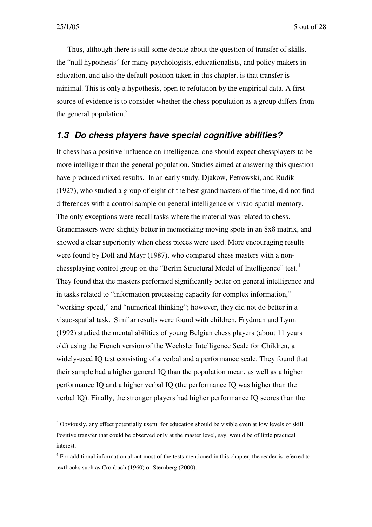Thus, although there is still some debate about the question of transfer of skills, the "null hypothesis" for many psychologists, educationalists, and policy makers in education, and also the default position taken in this chapter, is that transfer is minimal. This is only a hypothesis, open to refutation by the empirical data. A first source of evidence is to consider whether the chess population as a group differs from the general population.<sup>3</sup>

### *1.3 Do chess players have special cognitive abilities?*

If chess has a positive influence on intelligence, one should expect chessplayers to be more intelligent than the general population. Studies aimed at answering this question have produced mixed results. In an early study, Djakow, Petrowski, and Rudik (1927), who studied a group of eight of the best grandmasters of the time, did not find differences with a control sample on general intelligence or visuo-spatial memory. The only exceptions were recall tasks where the material was related to chess. Grandmasters were slightly better in memorizing moving spots in an 8x8 matrix, and showed a clear superiority when chess pieces were used. More encouraging results were found by Doll and Mayr (1987), who compared chess masters with a nonchessplaying control group on the "Berlin Structural Model of Intelligence" test.<sup>4</sup> They found that the masters performed significantly better on general intelligence and in tasks related to "information processing capacity for complex information," "working speed," and "numerical thinking"; however, they did not do better in a visuo-spatial task. Similar results were found with children. Frydman and Lynn (1992) studied the mental abilities of young Belgian chess players (about 11 years old) using the French version of the Wechsler Intelligence Scale for Children, a widely-used IQ test consisting of a verbal and a performance scale. They found that their sample had a higher general IQ than the population mean, as well as a higher performance IQ and a higher verbal IQ (the performance IQ was higher than the verbal IQ). Finally, the stronger players had higher performance IQ scores than the

<sup>&</sup>lt;sup>3</sup> Obviously, any effect potentially useful for education should be visible even at low levels of skill. Positive transfer that could be observed only at the master level, say, would be of little practical interest.

<sup>&</sup>lt;sup>4</sup> For additional information about most of the tests mentioned in this chapter, the reader is referred to textbooks such as Cronbach (1960) or Sternberg (2000).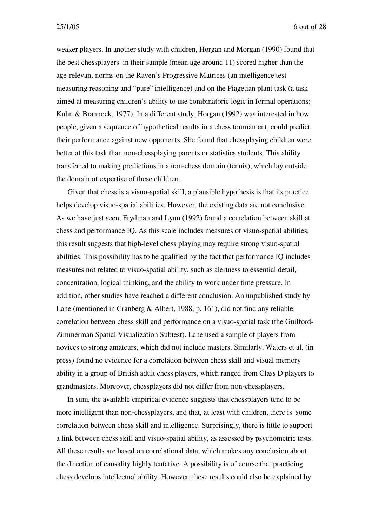weaker players. In another study with children, Horgan and Morgan (1990) found that the best chessplayers in their sample (mean age around 11) scored higher than the age-relevant norms on the Raven's Progressive Matrices (an intelligence test measuring reasoning and "pure" intelligence) and on the Piagetian plant task (a task aimed at measuring children's ability to use combinatoric logic in formal operations; Kuhn & Brannock, 1977). In a different study, Horgan (1992) was interested in how people, given a sequence of hypothetical results in a chess tournament, could predict their performance against new opponents. She found that chessplaying children were better at this task than non-chessplaying parents or statistics students. This ability transferred to making predictions in a non-chess domain (tennis), which lay outside the domain of expertise of these children.

Given that chess is a visuo-spatial skill, a plausible hypothesis is that its practice helps develop visuo-spatial abilities. However, the existing data are not conclusive. As we have just seen, Frydman and Lynn (1992) found a correlation between skill at chess and performance IQ. As this scale includes measures of visuo-spatial abilities, this result suggests that high-level chess playing may require strong visuo-spatial abilities. This possibility has to be qualified by the fact that performance IQ includes measures not related to visuo-spatial ability, such as alertness to essential detail, concentration, logical thinking, and the ability to work under time pressure. In addition, other studies have reached a different conclusion. An unpublished study by Lane (mentioned in Cranberg & Albert, 1988, p. 161), did not find any reliable correlation between chess skill and performance on a visuo-spatial task (the Guilford-Zimmerman Spatial Visualization Subtest). Lane used a sample of players from novices to strong amateurs, which did not include masters. Similarly, Waters et al. (in press) found no evidence for a correlation between chess skill and visual memory ability in a group of British adult chess players, which ranged from Class D players to grandmasters. Moreover, chessplayers did not differ from non-chessplayers.

In sum, the available empirical evidence suggests that chessplayers tend to be more intelligent than non-chessplayers, and that, at least with children, there is some correlation between chess skill and intelligence. Surprisingly, there is little to support a link between chess skill and visuo-spatial ability, as assessed by psychometric tests. All these results are based on correlational data, which makes any conclusion about the direction of causality highly tentative. A possibility is of course that practicing chess develops intellectual ability. However, these results could also be explained by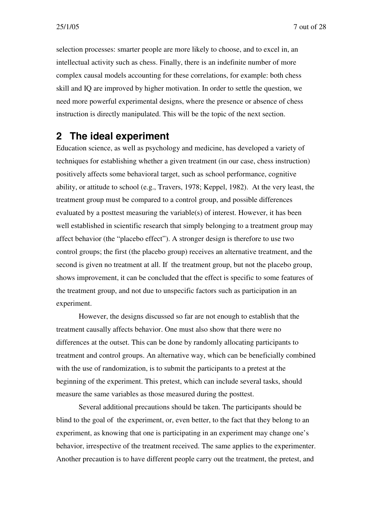selection processes: smarter people are more likely to choose, and to excel in, an intellectual activity such as chess. Finally, there is an indefinite number of more complex causal models accounting for these correlations, for example: both chess skill and IQ are improved by higher motivation. In order to settle the question, we need more powerful experimental designs, where the presence or absence of chess instruction is directly manipulated. This will be the topic of the next section.

## **2 The ideal experiment**

Education science, as well as psychology and medicine, has developed a variety of techniques for establishing whether a given treatment (in our case, chess instruction) positively affects some behavioral target, such as school performance, cognitive ability, or attitude to school (e.g., Travers, 1978; Keppel, 1982). At the very least, the treatment group must be compared to a control group, and possible differences evaluated by a posttest measuring the variable(s) of interest. However, it has been well established in scientific research that simply belonging to a treatment group may affect behavior (the "placebo effect"). A stronger design is therefore to use two control groups; the first (the placebo group) receives an alternative treatment, and the second is given no treatment at all. If the treatment group, but not the placebo group, shows improvement, it can be concluded that the effect is specific to some features of the treatment group, and not due to unspecific factors such as participation in an experiment.

However, the designs discussed so far are not enough to establish that the treatment causally affects behavior. One must also show that there were no differences at the outset. This can be done by randomly allocating participants to treatment and control groups. An alternative way, which can be beneficially combined with the use of randomization, is to submit the participants to a pretest at the beginning of the experiment. This pretest, which can include several tasks, should measure the same variables as those measured during the posttest.

Several additional precautions should be taken. The participants should be blind to the goal of the experiment, or, even better, to the fact that they belong to an experiment, as knowing that one is participating in an experiment may change one's behavior, irrespective of the treatment received. The same applies to the experimenter. Another precaution is to have different people carry out the treatment, the pretest, and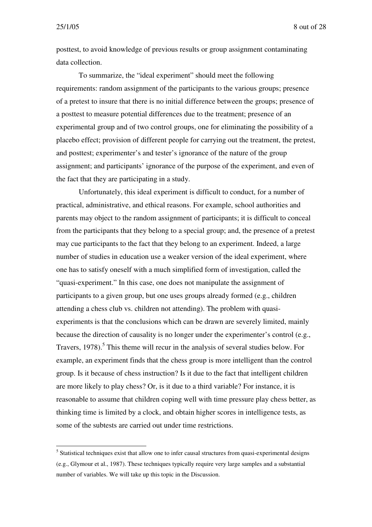25/1/05 8 out of 28

posttest, to avoid knowledge of previous results or group assignment contaminating data collection.

To summarize, the "ideal experiment" should meet the following requirements: random assignment of the participants to the various groups; presence of a pretest to insure that there is no initial difference between the groups; presence of a posttest to measure potential differences due to the treatment; presence of an experimental group and of two control groups, one for eliminating the possibility of a placebo effect; provision of different people for carrying out the treatment, the pretest, and posttest; experimenter's and tester's ignorance of the nature of the group assignment; and participants' ignorance of the purpose of the experiment, and even of the fact that they are participating in a study.

Unfortunately, this ideal experiment is difficult to conduct, for a number of practical, administrative, and ethical reasons. For example, school authorities and parents may object to the random assignment of participants; it is difficult to conceal from the participants that they belong to a special group; and, the presence of a pretest may cue participants to the fact that they belong to an experiment. Indeed, a large number of studies in education use a weaker version of the ideal experiment, where one has to satisfy oneself with a much simplified form of investigation, called the "quasi-experiment." In this case, one does not manipulate the assignment of participants to a given group, but one uses groups already formed (e.g., children attending a chess club vs. children not attending). The problem with quasiexperiments is that the conclusions which can be drawn are severely limited, mainly because the direction of causality is no longer under the experimenter's control (e.g., Travers, 1978).<sup>5</sup> This theme will recur in the analysis of several studies below. For example, an experiment finds that the chess group is more intelligent than the control group. Is it because of chess instruction? Is it due to the fact that intelligent children are more likely to play chess? Or, is it due to a third variable? For instance, it is reasonable to assume that children coping well with time pressure play chess better, as thinking time is limited by a clock, and obtain higher scores in intelligence tests, as some of the subtests are carried out under time restrictions.

<sup>&</sup>lt;sup>5</sup> Statistical techniques exist that allow one to infer causal structures from quasi-experimental designs (e.g., Glymour et al., 1987). These techniques typically require very large samples and a substantial number of variables. We will take up this topic in the Discussion.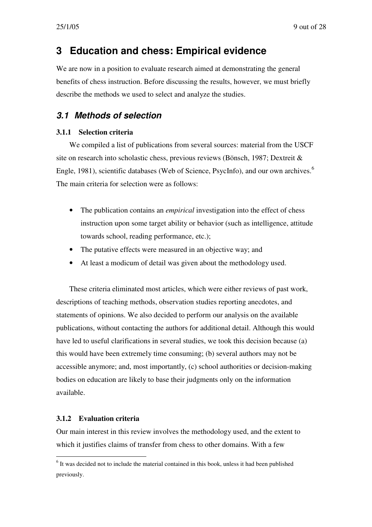# **3 Education and chess: Empirical evidence**

We are now in a position to evaluate research aimed at demonstrating the general benefits of chess instruction. Before discussing the results, however, we must briefly describe the methods we used to select and analyze the studies.

### *3.1 Methods of selection*

#### **3.1.1 Selection criteria**

We compiled a list of publications from several sources: material from the USCF site on research into scholastic chess, previous reviews (Bönsch, 1987; Dextreit & Engle, 1981), scientific databases (Web of Science, PsycInfo), and our own archives.<sup>6</sup> The main criteria for selection were as follows:

- The publication contains an *empirical* investigation into the effect of chess instruction upon some target ability or behavior (such as intelligence, attitude towards school, reading performance, etc.);
- The putative effects were measured in an objective way; and
- At least a modicum of detail was given about the methodology used.

These criteria eliminated most articles, which were either reviews of past work, descriptions of teaching methods, observation studies reporting anecdotes, and statements of opinions. We also decided to perform our analysis on the available publications, without contacting the authors for additional detail. Although this would have led to useful clarifications in several studies, we took this decision because (a) this would have been extremely time consuming; (b) several authors may not be accessible anymore; and, most importantly, (c) school authorities or decision-making bodies on education are likely to base their judgments only on the information available.

### **3.1.2 Evaluation criteria**

Our main interest in this review involves the methodology used, and the extent to which it justifies claims of transfer from chess to other domains. With a few

 $<sup>6</sup>$  It was decided not to include the material contained in this book, unless it had been published</sup> previously.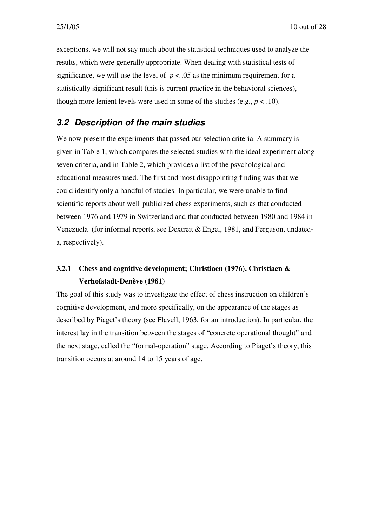exceptions, we will not say much about the statistical techniques used to analyze the results, which were generally appropriate. When dealing with statistical tests of significance, we will use the level of  $p < .05$  as the minimum requirement for a statistically significant result (this is current practice in the behavioral sciences), though more lenient levels were used in some of the studies (e.g.,  $p < .10$ ).

### *3.2 Description of the main studies*

We now present the experiments that passed our selection criteria. A summary is given in Table 1, which compares the selected studies with the ideal experiment along seven criteria, and in Table 2, which provides a list of the psychological and educational measures used. The first and most disappointing finding was that we could identify only a handful of studies. In particular, we were unable to find scientific reports about well-publicized chess experiments, such as that conducted between 1976 and 1979 in Switzerland and that conducted between 1980 and 1984 in Venezuela (for informal reports, see Dextreit & Engel, 1981, and Ferguson, undateda, respectively).

### **3.2.1 Chess and cognitive development; Christiaen (1976), Christiaen & Verhofstadt-Denève (1981)**

The goal of this study was to investigate the effect of chess instruction on children's cognitive development, and more specifically, on the appearance of the stages as described by Piaget's theory (see Flavell, 1963, for an introduction). In particular, the interest lay in the transition between the stages of "concrete operational thought" and the next stage, called the "formal-operation" stage. According to Piaget's theory, this transition occurs at around 14 to 15 years of age.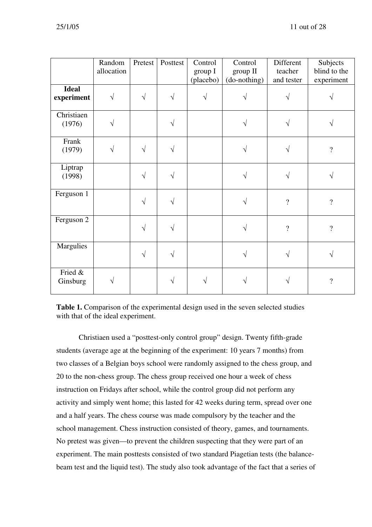|                            | Random<br>allocation | Pretest    | Posttest  | Control<br>group I<br>(placebo) | Control<br>group II<br>(do-nothing) | Different<br>teacher<br>and tester | Subjects<br>blind to the<br>experiment |
|----------------------------|----------------------|------------|-----------|---------------------------------|-------------------------------------|------------------------------------|----------------------------------------|
| <b>Ideal</b><br>experiment | $\sqrt{ }$           | $\sqrt{ }$ | $\sqrt{}$ |                                 |                                     |                                    |                                        |
| Christiaen<br>(1976)       | V                    |            |           |                                 | $\sqrt{ }$                          | V                                  |                                        |
| Frank<br>(1979)            | V                    |            |           |                                 | $\sqrt{ }$                          | V                                  | $\overline{\mathcal{L}}$               |
| Liptrap<br>(1998)          |                      | $\sqrt{ }$ |           |                                 | $\sqrt{ }$                          | V                                  |                                        |
| Ferguson 1                 |                      | $\sqrt{ }$ | $\sqrt{}$ |                                 | $\sqrt{ }$                          | $\overline{\mathcal{L}}$           | $\overline{?}$                         |
| Ferguson 2                 |                      | $\sqrt{ }$ | V         |                                 | $\sqrt{ }$                          | $\gamma$                           | $\overline{?}$                         |
| Margulies                  |                      | $\sqrt{ }$ | V         |                                 | $\sqrt{}$                           | V                                  |                                        |
| Fried &<br>Ginsburg        |                      |            |           |                                 |                                     |                                    | $\gamma$                               |

**Table 1.** Comparison of the experimental design used in the seven selected studies with that of the ideal experiment.

Christiaen used a "posttest-only control group" design. Twenty fifth-grade students (average age at the beginning of the experiment: 10 years 7 months) from two classes of a Belgian boys school were randomly assigned to the chess group, and 20 to the non-chess group. The chess group received one hour a week of chess instruction on Fridays after school, while the control group did not perform any activity and simply went home; this lasted for 42 weeks during term, spread over one and a half years. The chess course was made compulsory by the teacher and the school management. Chess instruction consisted of theory, games, and tournaments. No pretest was given—to prevent the children suspecting that they were part of an experiment. The main posttests consisted of two standard Piagetian tests (the balancebeam test and the liquid test). The study also took advantage of the fact that a series of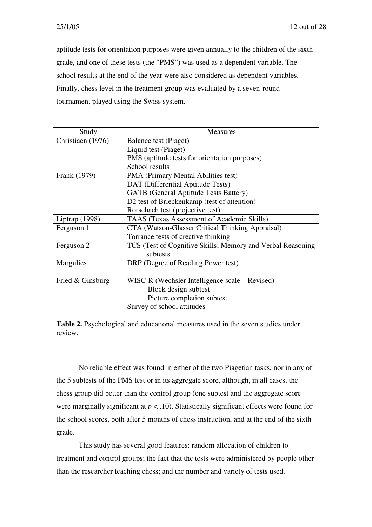aptitude tests for orientation purposes were given annually to the children of the sixth grade, and one of these tests (the "PMS") was used as a dependent variable. The school results at the end of the year were also considered as dependent variables. Finally, chess level in the treatment group was evaluated by a seven-round tournament played using the Swiss system.

| Study             | <b>Measures</b>                                            |  |  |  |  |
|-------------------|------------------------------------------------------------|--|--|--|--|
| Christiaen (1976) | Balance test (Piaget)                                      |  |  |  |  |
|                   | Liquid test (Piaget)                                       |  |  |  |  |
|                   | PMS (aptitude tests for orientation purposes)              |  |  |  |  |
|                   | School results                                             |  |  |  |  |
| Frank (1979)      | PMA (Primary Mental Abilities test)                        |  |  |  |  |
|                   | DAT (Differential Aptitude Tests)                          |  |  |  |  |
|                   | <b>GATB</b> (General Aptitude Tests Battery)               |  |  |  |  |
|                   | D2 test of Brieckenkamp (test of attention)                |  |  |  |  |
|                   | Rorschach test (projective test)                           |  |  |  |  |
| Liptrap $(1998)$  | TAAS (Texas Assessment of Academic Skills)                 |  |  |  |  |
| Ferguson 1        | CTA (Watson-Glasser Critical Thinking Appraisal)           |  |  |  |  |
|                   | Torrance tests of creative thinking                        |  |  |  |  |
| Ferguson 2        | TCS (Test of Cognitive Skills; Memory and Verbal Reasoning |  |  |  |  |
|                   | subtests                                                   |  |  |  |  |
| Margulies         | DRP (Degree of Reading Power test)                         |  |  |  |  |
|                   |                                                            |  |  |  |  |
| Fried & Ginsburg  | WISC-R (Wechsler Intelligence scale – Revised)             |  |  |  |  |
|                   | Block design subtest                                       |  |  |  |  |
|                   | Picture completion subtest                                 |  |  |  |  |
|                   | Survey of school attitudes                                 |  |  |  |  |

**Table 2.** Psychological and educational measures used in the seven studies under review.

No reliable effect was found in either of the two Piagetian tasks, nor in any of the 5 subtests of the PMS test or in its aggregate score, although, in all cases, the chess group did better than the control group (one subtest and the aggregate score were marginally significant at *p* < .10). Statistically significant effects were found for the school scores, both after 5 months of chess instruction, and at the end of the sixth grade.

This study has several good features: random allocation of children to treatment and control groups; the fact that the tests were administered by people other than the researcher teaching chess; and the number and variety of tests used.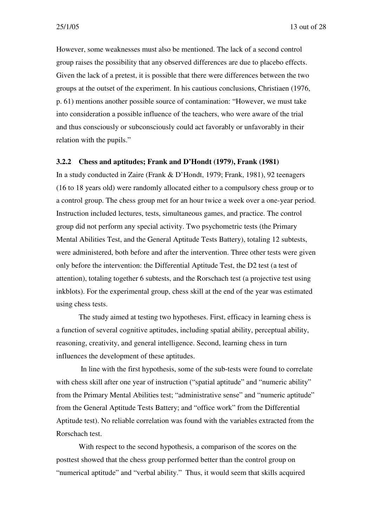25/1/05 13 out of 28

However, some weaknesses must also be mentioned. The lack of a second control group raises the possibility that any observed differences are due to placebo effects. Given the lack of a pretest, it is possible that there were differences between the two groups at the outset of the experiment. In his cautious conclusions, Christiaen (1976, p. 61) mentions another possible source of contamination: "However, we must take into consideration a possible influence of the teachers, who were aware of the trial and thus consciously or subconsciously could act favorably or unfavorably in their relation with the pupils."

#### **3.2.2 Chess and aptitudes; Frank and D'Hondt (1979), Frank (1981)**

In a study conducted in Zaire (Frank & D'Hondt, 1979; Frank, 1981), 92 teenagers (16 to 18 years old) were randomly allocated either to a compulsory chess group or to a control group. The chess group met for an hour twice a week over a one-year period. Instruction included lectures, tests, simultaneous games, and practice. The control group did not perform any special activity. Two psychometric tests (the Primary Mental Abilities Test, and the General Aptitude Tests Battery), totaling 12 subtests, were administered, both before and after the intervention. Three other tests were given only before the intervention: the Differential Aptitude Test, the D2 test (a test of attention), totaling together 6 subtests, and the Rorschach test (a projective test using inkblots). For the experimental group, chess skill at the end of the year was estimated using chess tests.

The study aimed at testing two hypotheses. First, efficacy in learning chess is a function of several cognitive aptitudes, including spatial ability, perceptual ability, reasoning, creativity, and general intelligence. Second, learning chess in turn influences the development of these aptitudes.

In line with the first hypothesis, some of the sub-tests were found to correlate with chess skill after one year of instruction ("spatial aptitude" and "numeric ability" from the Primary Mental Abilities test; "administrative sense" and "numeric aptitude" from the General Aptitude Tests Battery; and "office work" from the Differential Aptitude test). No reliable correlation was found with the variables extracted from the Rorschach test.

With respect to the second hypothesis, a comparison of the scores on the posttest showed that the chess group performed better than the control group on "numerical aptitude" and "verbal ability." Thus, it would seem that skills acquired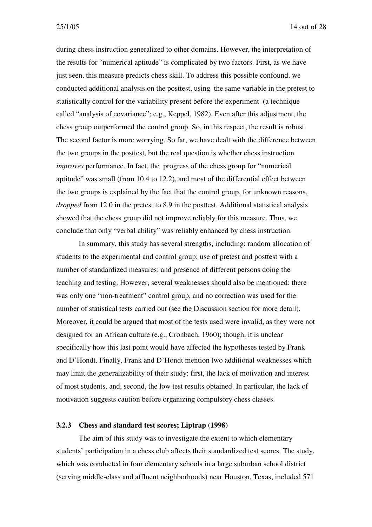25/1/05 14 out of 28

during chess instruction generalized to other domains. However, the interpretation of the results for "numerical aptitude" is complicated by two factors. First, as we have just seen, this measure predicts chess skill. To address this possible confound, we conducted additional analysis on the posttest, using the same variable in the pretest to statistically control for the variability present before the experiment (a technique called "analysis of covariance"; e.g., Keppel, 1982). Even after this adjustment, the chess group outperformed the control group. So, in this respect, the result is robust. The second factor is more worrying. So far, we have dealt with the difference between the two groups in the posttest, but the real question is whether chess instruction *improves* performance. In fact, the progress of the chess group for "numerical aptitude" was small (from 10.4 to 12.2), and most of the differential effect between the two groups is explained by the fact that the control group, for unknown reasons, *dropped* from 12.0 in the pretest to 8.9 in the posttest. Additional statistical analysis showed that the chess group did not improve reliably for this measure. Thus, we conclude that only "verbal ability" was reliably enhanced by chess instruction.

In summary, this study has several strengths, including: random allocation of students to the experimental and control group; use of pretest and posttest with a number of standardized measures; and presence of different persons doing the teaching and testing. However, several weaknesses should also be mentioned: there was only one "non-treatment" control group, and no correction was used for the number of statistical tests carried out (see the Discussion section for more detail). Moreover, it could be argued that most of the tests used were invalid, as they were not designed for an African culture (e.g., Cronbach, 1960); though, it is unclear specifically how this last point would have affected the hypotheses tested by Frank and D'Hondt. Finally, Frank and D'Hondt mention two additional weaknesses which may limit the generalizability of their study: first, the lack of motivation and interest of most students, and, second, the low test results obtained. In particular, the lack of motivation suggests caution before organizing compulsory chess classes.

#### **3.2.3 Chess and standard test scores; Liptrap (1998)**

The aim of this study was to investigate the extent to which elementary students' participation in a chess club affects their standardized test scores. The study, which was conducted in four elementary schools in a large suburban school district (serving middle-class and affluent neighborhoods) near Houston, Texas, included 571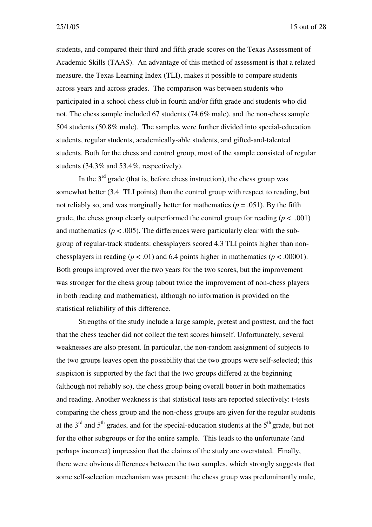students, and compared their third and fifth grade scores on the Texas Assessment of Academic Skills (TAAS). An advantage of this method of assessment is that a related measure, the Texas Learning Index (TLI), makes it possible to compare students across years and across grades. The comparison was between students who participated in a school chess club in fourth and/or fifth grade and students who did not. The chess sample included 67 students (74.6% male), and the non-chess sample 504 students (50.8% male). The samples were further divided into special-education students, regular students, academically-able students, and gifted-and-talented students. Both for the chess and control group, most of the sample consisted of regular students (34.3% and 53.4%, respectively).

In the  $3<sup>rd</sup>$  grade (that is, before chess instruction), the chess group was somewhat better (3.4 TLI points) than the control group with respect to reading, but not reliably so, and was marginally better for mathematics ( $p = .051$ ). By the fifth grade, the chess group clearly outperformed the control group for reading  $(p < .001)$ and mathematics ( $p < .005$ ). The differences were particularly clear with the subgroup of regular-track students: chessplayers scored 4.3 TLI points higher than nonchessplayers in reading ( $p < .01$ ) and 6.4 points higher in mathematics ( $p < .00001$ ). Both groups improved over the two years for the two scores, but the improvement was stronger for the chess group (about twice the improvement of non-chess players in both reading and mathematics), although no information is provided on the statistical reliability of this difference.

Strengths of the study include a large sample, pretest and posttest, and the fact that the chess teacher did not collect the test scores himself. Unfortunately, several weaknesses are also present. In particular, the non-random assignment of subjects to the two groups leaves open the possibility that the two groups were self-selected; this suspicion is supported by the fact that the two groups differed at the beginning (although not reliably so), the chess group being overall better in both mathematics and reading. Another weakness is that statistical tests are reported selectively: t-tests comparing the chess group and the non-chess groups are given for the regular students at the  $3<sup>rd</sup>$  and  $5<sup>th</sup>$  grades, and for the special-education students at the  $5<sup>th</sup>$  grade, but not for the other subgroups or for the entire sample. This leads to the unfortunate (and perhaps incorrect) impression that the claims of the study are overstated. Finally, there were obvious differences between the two samples, which strongly suggests that some self-selection mechanism was present: the chess group was predominantly male,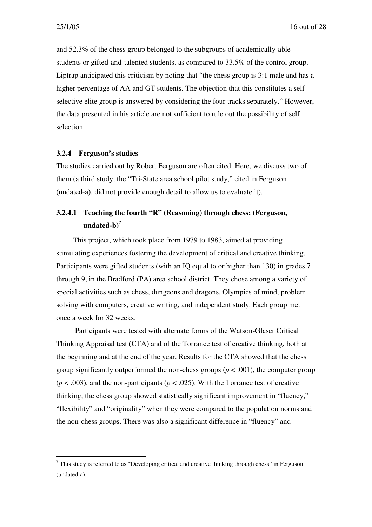and 52.3% of the chess group belonged to the subgroups of academically-able students or gifted-and-talented students, as compared to 33.5% of the control group. Liptrap anticipated this criticism by noting that "the chess group is 3:1 male and has a higher percentage of AA and GT students. The objection that this constitutes a self selective elite group is answered by considering the four tracks separately." However, the data presented in his article are not sufficient to rule out the possibility of self selection.

#### **3.2.4 Ferguson's studies**

The studies carried out by Robert Ferguson are often cited. Here, we discuss two of them (a third study, the "Tri-State area school pilot study," cited in Ferguson (undated-a), did not provide enough detail to allow us to evaluate it).

### **3.2.4.1 Teaching the fourth "R" (Reasoning) through chess; (Ferguson, undated-b) 7**

This project, which took place from 1979 to 1983, aimed at providing stimulating experiences fostering the development of critical and creative thinking. Participants were gifted students (with an IQ equal to or higher than 130) in grades 7 through 9, in the Bradford (PA) area school district. They chose among a variety of special activities such as chess, dungeons and dragons, Olympics of mind, problem solving with computers, creative writing, and independent study. Each group met once a week for 32 weeks.

Participants were tested with alternate forms of the Watson-Glaser Critical Thinking Appraisal test (CTA) and of the Torrance test of creative thinking, both at the beginning and at the end of the year. Results for the CTA showed that the chess group significantly outperformed the non-chess groups ( $p < .001$ ), the computer group  $(p < .003)$ , and the non-participants  $(p < .025)$ . With the Torrance test of creative thinking, the chess group showed statistically significant improvement in "fluency," "flexibility" and "originality" when they were compared to the population norms and the non-chess groups. There was also a significant difference in "fluency" and

 $<sup>7</sup>$  This study is referred to as "Developing critical and creative thinking through chess" in Ferguson</sup> (undated-a).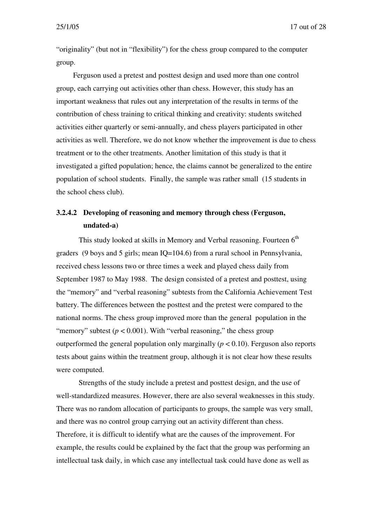"originality" (but not in "flexibility") for the chess group compared to the computer group.

Ferguson used a pretest and posttest design and used more than one control group, each carrying out activities other than chess. However, this study has an important weakness that rules out any interpretation of the results in terms of the contribution of chess training to critical thinking and creativity: students switched activities either quarterly or semi-annually, and chess players participated in other activities as well. Therefore, we do not know whether the improvement is due to chess treatment or to the other treatments. Another limitation of this study is that it investigated a gifted population; hence, the claims cannot be generalized to the entire population of school students. Finally, the sample was rather small (15 students in the school chess club).

### **3.2.4.2 Developing of reasoning and memory through chess (Ferguson, undated-a)**

This study looked at skills in Memory and Verbal reasoning. Fourteen 6<sup>th</sup> graders (9 boys and 5 girls; mean IQ=104.6) from a rural school in Pennsylvania, received chess lessons two or three times a week and played chess daily from September 1987 to May 1988. The design consisted of a pretest and posttest, using the "memory" and "verbal reasoning" subtests from the California Achievement Test battery. The differences between the posttest and the pretest were compared to the national norms. The chess group improved more than the general population in the "memory" subtest ( $p < 0.001$ ). With "verbal reasoning," the chess group outperformed the general population only marginally  $(p < 0.10)$ . Ferguson also reports tests about gains within the treatment group, although it is not clear how these results were computed.

Strengths of the study include a pretest and posttest design, and the use of well-standardized measures. However, there are also several weaknesses in this study. There was no random allocation of participants to groups, the sample was very small, and there was no control group carrying out an activity different than chess. Therefore, it is difficult to identify what are the causes of the improvement. For example, the results could be explained by the fact that the group was performing an intellectual task daily, in which case any intellectual task could have done as well as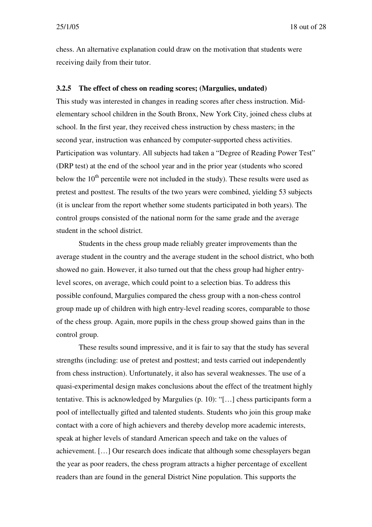25/1/05 18 out of 28

chess. An alternative explanation could draw on the motivation that students were receiving daily from their tutor.

#### **3.2.5 The effect of chess on reading scores; (Margulies, undated)**

This study was interested in changes in reading scores after chess instruction. Midelementary school children in the South Bronx, New York City, joined chess clubs at school. In the first year, they received chess instruction by chess masters; in the second year, instruction was enhanced by computer-supported chess activities. Participation was voluntary. All subjects had taken a "Degree of Reading Power Test" (DRP test) at the end of the school year and in the prior year (students who scored below the 10<sup>th</sup> percentile were not included in the study). These results were used as pretest and posttest. The results of the two years were combined, yielding 53 subjects (it is unclear from the report whether some students participated in both years). The control groups consisted of the national norm for the same grade and the average student in the school district.

Students in the chess group made reliably greater improvements than the average student in the country and the average student in the school district, who both showed no gain. However, it also turned out that the chess group had higher entrylevel scores, on average, which could point to a selection bias. To address this possible confound, Margulies compared the chess group with a non-chess control group made up of children with high entry-level reading scores, comparable to those of the chess group. Again, more pupils in the chess group showed gains than in the control group.

These results sound impressive, and it is fair to say that the study has several strengths (including: use of pretest and posttest; and tests carried out independently from chess instruction). Unfortunately, it also has several weaknesses. The use of a quasi-experimental design makes conclusions about the effect of the treatment highly tentative. This is acknowledged by Margulies (p. 10): "[…] chess participants form a pool of intellectually gifted and talented students. Students who join this group make contact with a core of high achievers and thereby develop more academic interests, speak at higher levels of standard American speech and take on the values of achievement. […] Our research does indicate that although some chessplayers began the year as poor readers, the chess program attracts a higher percentage of excellent readers than are found in the general District Nine population. This supports the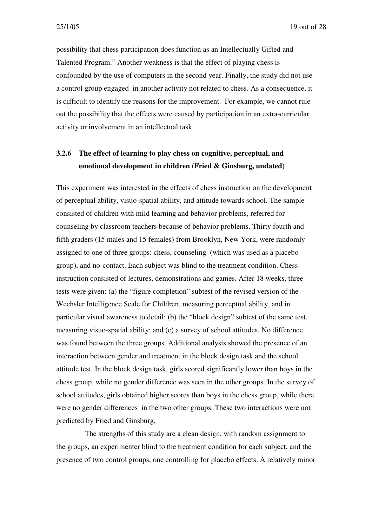possibility that chess participation does function as an Intellectually Gifted and Talented Program." Another weakness is that the effect of playing chess is confounded by the use of computers in the second year. Finally, the study did not use a control group engaged in another activity not related to chess. As a consequence, it is difficult to identify the reasons for the improvement. For example, we cannot rule out the possibility that the effects were caused by participation in an extra-curricular activity or involvement in an intellectual task.

### **3.2.6 The effect of learning to play chess on cognitive, perceptual, and emotional development in children (Fried & Ginsburg, undated)**

This experiment was interested in the effects of chess instruction on the development of perceptual ability, visuo-spatial ability, and attitude towards school. The sample consisted of children with mild learning and behavior problems, referred for counseling by classroom teachers because of behavior problems. Thirty fourth and fifth graders (15 males and 15 females) from Brooklyn, New York, were randomly assigned to one of three groups: chess, counseling (which was used as a placebo group), and no-contact. Each subject was blind to the treatment condition. Chess instruction consisted of lectures, demonstrations and games. After 18 weeks, three tests were given: (a) the "figure completion" subtest of the revised version of the Wechsler Intelligence Scale for Children, measuring perceptual ability, and in particular visual awareness to detail; (b) the "block design" subtest of the same test, measuring visuo-spatial ability; and (c) a survey of school attitudes. No difference was found between the three groups. Additional analysis showed the presence of an interaction between gender and treatment in the block design task and the school attitude test. In the block design task, girls scored significantly lower than boys in the chess group, while no gender difference was seen in the other groups. In the survey of school attitudes, girls obtained higher scores than boys in the chess group, while there were no gender differences in the two other groups. These two interactions were not predicted by Fried and Ginsburg.

The strengths of this study are a clean design, with random assignment to the groups, an experimenter blind to the treatment condition for each subject, and the presence of two control groups, one controlling for placebo effects. A relatively minor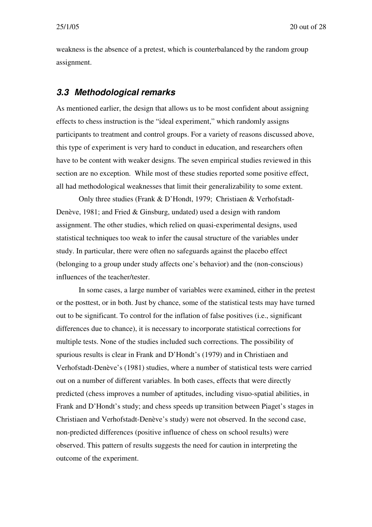weakness is the absence of a pretest, which is counterbalanced by the random group assignment.

#### *3.3 Methodological remarks*

As mentioned earlier, the design that allows us to be most confident about assigning effects to chess instruction is the "ideal experiment," which randomly assigns participants to treatment and control groups. For a variety of reasons discussed above, this type of experiment is very hard to conduct in education, and researchers often have to be content with weaker designs. The seven empirical studies reviewed in this section are no exception. While most of these studies reported some positive effect, all had methodological weaknesses that limit their generalizability to some extent.

Only three studies (Frank & D'Hondt, 1979; Christiaen & Verhofstadt-Denève, 1981; and Fried & Ginsburg, undated) used a design with random assignment. The other studies, which relied on quasi-experimental designs, used statistical techniques too weak to infer the causal structure of the variables under study. In particular, there were often no safeguards against the placebo effect (belonging to a group under study affects one's behavior) and the (non-conscious) influences of the teacher/tester.

In some cases, a large number of variables were examined, either in the pretest or the posttest, or in both. Just by chance, some of the statistical tests may have turned out to be significant. To control for the inflation of false positives (i.e., significant differences due to chance), it is necessary to incorporate statistical corrections for multiple tests. None of the studies included such corrections. The possibility of spurious results is clear in Frank and D'Hondt's (1979) and in Christiaen and Verhofstadt-Denève's (1981) studies, where a number of statistical tests were carried out on a number of different variables. In both cases, effects that were directly predicted (chess improves a number of aptitudes, including visuo-spatial abilities, in Frank and D'Hondt's study; and chess speeds up transition between Piaget's stages in Christiaen and Verhofstadt-Denève's study) were not observed. In the second case, non-predicted differences (positive influence of chess on school results) were observed. This pattern of results suggests the need for caution in interpreting the outcome of the experiment.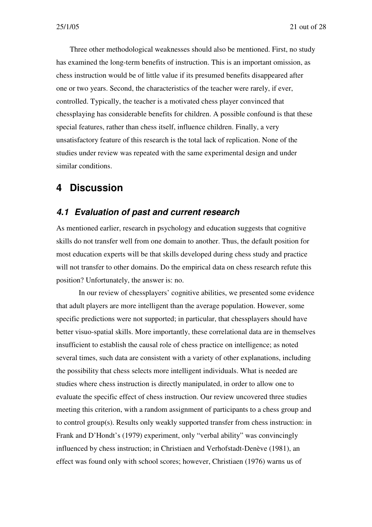Three other methodological weaknesses should also be mentioned. First, no study has examined the long-term benefits of instruction. This is an important omission, as chess instruction would be of little value if its presumed benefits disappeared after one or two years. Second, the characteristics of the teacher were rarely, if ever, controlled. Typically, the teacher is a motivated chess player convinced that chessplaying has considerable benefits for children. A possible confound is that these special features, rather than chess itself, influence children. Finally, a very unsatisfactory feature of this research is the total lack of replication. None of the studies under review was repeated with the same experimental design and under similar conditions.

### **4 Discussion**

### *4.1 Evaluation of past and current research*

As mentioned earlier, research in psychology and education suggests that cognitive skills do not transfer well from one domain to another. Thus, the default position for most education experts will be that skills developed during chess study and practice will not transfer to other domains. Do the empirical data on chess research refute this position? Unfortunately, the answer is: no.

In our review of chessplayers' cognitive abilities, we presented some evidence that adult players are more intelligent than the average population. However, some specific predictions were not supported; in particular, that chessplayers should have better visuo-spatial skills. More importantly, these correlational data are in themselves insufficient to establish the causal role of chess practice on intelligence; as noted several times, such data are consistent with a variety of other explanations, including the possibility that chess selects more intelligent individuals. What is needed are studies where chess instruction is directly manipulated, in order to allow one to evaluate the specific effect of chess instruction. Our review uncovered three studies meeting this criterion, with a random assignment of participants to a chess group and to control group(s). Results only weakly supported transfer from chess instruction: in Frank and D'Hondt's (1979) experiment, only "verbal ability" was convincingly influenced by chess instruction; in Christiaen and Verhofstadt-Denève (1981), an effect was found only with school scores; however, Christiaen (1976) warns us of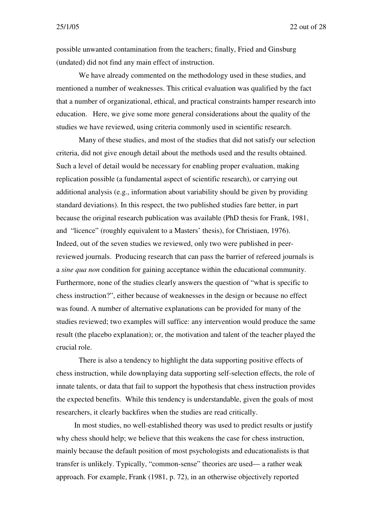possible unwanted contamination from the teachers; finally, Fried and Ginsburg (undated) did not find any main effect of instruction.

We have already commented on the methodology used in these studies, and mentioned a number of weaknesses. This critical evaluation was qualified by the fact that a number of organizational, ethical, and practical constraints hamper research into education. Here, we give some more general considerations about the quality of the studies we have reviewed, using criteria commonly used in scientific research.

Many of these studies, and most of the studies that did not satisfy our selection criteria, did not give enough detail about the methods used and the results obtained. Such a level of detail would be necessary for enabling proper evaluation, making replication possible (a fundamental aspect of scientific research), or carrying out additional analysis (e.g., information about variability should be given by providing standard deviations). In this respect, the two published studies fare better, in part because the original research publication was available (PhD thesis for Frank, 1981, and "licence" (roughly equivalent to a Masters' thesis), for Christiaen, 1976). Indeed, out of the seven studies we reviewed, only two were published in peerreviewed journals. Producing research that can pass the barrier of refereed journals is a *sine qua non* condition for gaining acceptance within the educational community. Furthermore, none of the studies clearly answers the question of "what is specific to chess instruction?", either because of weaknesses in the design or because no effect was found. A number of alternative explanations can be provided for many of the studies reviewed; two examples will suffice: any intervention would produce the same result (the placebo explanation); or, the motivation and talent of the teacher played the crucial role.

There is also a tendency to highlight the data supporting positive effects of chess instruction, while downplaying data supporting self-selection effects, the role of innate talents, or data that fail to support the hypothesis that chess instruction provides the expected benefits. While this tendency is understandable, given the goals of most researchers, it clearly backfires when the studies are read critically.

In most studies, no well-established theory was used to predict results or justify why chess should help; we believe that this weakens the case for chess instruction, mainly because the default position of most psychologists and educationalists is that transfer is unlikely. Typically, "common-sense" theories are used— a rather weak approach. For example, Frank (1981, p. 72), in an otherwise objectively reported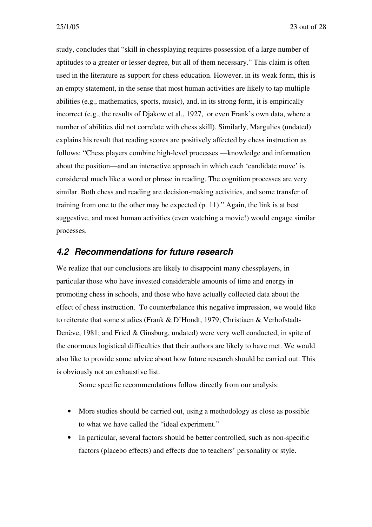study, concludes that "skill in chessplaying requires possession of a large number of aptitudes to a greater or lesser degree, but all of them necessary." This claim is often used in the literature as support for chess education. However, in its weak form, this is an empty statement, in the sense that most human activities are likely to tap multiple abilities (e.g., mathematics, sports, music), and, in its strong form, it is empirically incorrect (e.g., the results of Djakow et al., 1927, or even Frank's own data, where a number of abilities did not correlate with chess skill). Similarly, Margulies (undated) explains his result that reading scores are positively affected by chess instruction as follows: "Chess players combine high-level processes —knowledge and information about the position—and an interactive approach in which each 'candidate move' is considered much like a word or phrase in reading. The cognition processes are very similar. Both chess and reading are decision-making activities, and some transfer of training from one to the other may be expected (p. 11)." Again, the link is at best suggestive, and most human activities (even watching a movie!) would engage similar processes.

### *4.2 Recommendations for future research*

We realize that our conclusions are likely to disappoint many chessplayers, in particular those who have invested considerable amounts of time and energy in promoting chess in schools, and those who have actually collected data about the effect of chess instruction. To counterbalance this negative impression, we would like to reiterate that some studies (Frank & D'Hondt, 1979; Christiaen & Verhofstadt-Denève, 1981; and Fried & Ginsburg, undated) were very well conducted, in spite of the enormous logistical difficulties that their authors are likely to have met. We would also like to provide some advice about how future research should be carried out. This is obviously not an exhaustive list.

Some specific recommendations follow directly from our analysis:

- More studies should be carried out, using a methodology as close as possible to what we have called the "ideal experiment."
- In particular, several factors should be better controlled, such as non-specific factors (placebo effects) and effects due to teachers' personality or style.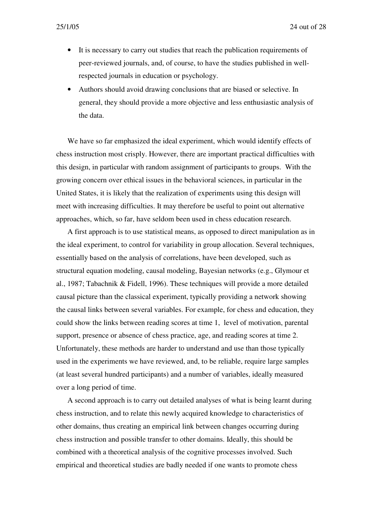- It is necessary to carry out studies that reach the publication requirements of peer-reviewed journals, and, of course, to have the studies published in wellrespected journals in education or psychology.
- Authors should avoid drawing conclusions that are biased or selective. In general, they should provide a more objective and less enthusiastic analysis of the data.

We have so far emphasized the ideal experiment, which would identify effects of chess instruction most crisply. However, there are important practical difficulties with this design, in particular with random assignment of participants to groups. With the growing concern over ethical issues in the behavioral sciences, in particular in the United States, it is likely that the realization of experiments using this design will meet with increasing difficulties. It may therefore be useful to point out alternative approaches, which, so far, have seldom been used in chess education research.

A first approach is to use statistical means, as opposed to direct manipulation as in the ideal experiment, to control for variability in group allocation. Several techniques, essentially based on the analysis of correlations, have been developed, such as structural equation modeling, causal modeling, Bayesian networks (e.g., Glymour et al., 1987; Tabachnik & Fidell, 1996). These techniques will provide a more detailed causal picture than the classical experiment, typically providing a network showing the causal links between several variables. For example, for chess and education, they could show the links between reading scores at time 1, level of motivation, parental support, presence or absence of chess practice, age, and reading scores at time 2. Unfortunately, these methods are harder to understand and use than those typically used in the experiments we have reviewed, and, to be reliable, require large samples (at least several hundred participants) and a number of variables, ideally measured over a long period of time.

A second approach is to carry out detailed analyses of what is being learnt during chess instruction, and to relate this newly acquired knowledge to characteristics of other domains, thus creating an empirical link between changes occurring during chess instruction and possible transfer to other domains. Ideally, this should be combined with a theoretical analysis of the cognitive processes involved. Such empirical and theoretical studies are badly needed if one wants to promote chess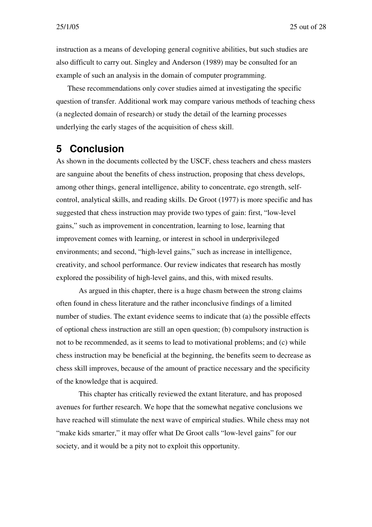instruction as a means of developing general cognitive abilities, but such studies are also difficult to carry out. Singley and Anderson (1989) may be consulted for an example of such an analysis in the domain of computer programming.

These recommendations only cover studies aimed at investigating the specific question of transfer. Additional work may compare various methods of teaching chess (a neglected domain of research) or study the detail of the learning processes underlying the early stages of the acquisition of chess skill.

### **5 Conclusion**

As shown in the documents collected by the USCF, chess teachers and chess masters are sanguine about the benefits of chess instruction, proposing that chess develops, among other things, general intelligence, ability to concentrate, ego strength, selfcontrol, analytical skills, and reading skills. De Groot (1977) is more specific and has suggested that chess instruction may provide two types of gain: first, "low-level gains," such as improvement in concentration, learning to lose, learning that improvement comes with learning, or interest in school in underprivileged environments; and second, "high-level gains," such as increase in intelligence, creativity, and school performance. Our review indicates that research has mostly explored the possibility of high-level gains, and this, with mixed results.

As argued in this chapter, there is a huge chasm between the strong claims often found in chess literature and the rather inconclusive findings of a limited number of studies. The extant evidence seems to indicate that (a) the possible effects of optional chess instruction are still an open question; (b) compulsory instruction is not to be recommended, as it seems to lead to motivational problems; and (c) while chess instruction may be beneficial at the beginning, the benefits seem to decrease as chess skill improves, because of the amount of practice necessary and the specificity of the knowledge that is acquired.

This chapter has critically reviewed the extant literature, and has proposed avenues for further research. We hope that the somewhat negative conclusions we have reached will stimulate the next wave of empirical studies. While chess may not "make kids smarter," it may offer what De Groot calls "low-level gains" for our society, and it would be a pity not to exploit this opportunity.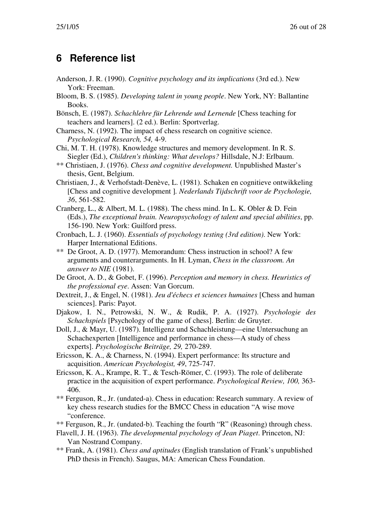# **6 Reference list**

- Anderson, J. R. (1990). *Cognitive psychology and its implications* (3rd ed.). New York: Freeman.
- Bloom, B. S. (1985). *Developing talent in young people*. New York, NY: Ballantine Books.
- Bönsch, E. (1987). *Schachlehre für Lehrende und Lernende* [Chess teaching for teachers and learners]. (2 ed.). Berlin: Sportverlag.
- Charness, N. (1992). The impact of chess research on cognitive science. *Psychological Research, 54,* 4-9.
- Chi, M. T. H. (1978). Knowledge structures and memory development. In R. S. Siegler (Ed.), *Children's thinking: What develops?* Hillsdale, N.J: Erlbaum.
- \*\* Christiaen, J. (1976). *Chess and cognitive development.* Unpublished Master's thesis, Gent, Belgium.
- Christiaen, J., & Verhofstadt-Denève, L. (1981). Schaken en cognitieve ontwikkeling [Chess and cognitive development ]*. Nederlands Tijdschrift voor de Psychologie, 36*, 561-582.
- Cranberg, L., & Albert, M. L. (1988). The chess mind. In L. K. Obler & D. Fein (Eds.), *The exceptional brain. Neuropsychology of talent and special abilities*, pp. 156-190. New York: Guilford press.
- Cronbach, L. J. (1960). *Essentials of psychology testing (3rd edition)*. New York: Harper International Editions.
- \*\* De Groot, A. D. (1977). Memorandum: Chess instruction in school? A few arguments and counterarguments. In H. Lyman, *Chess in the classroom. An answer to NIE* (1981).
- De Groot, A. D., & Gobet, F. (1996). *Perception and memory in chess. Heuristics of the professional eye*. Assen: Van Gorcum.
- Dextreit, J., & Engel, N. (1981). *Jeu d'échecs et sciences humaines* [Chess and human sciences]. Paris: Payot.
- Djakow, I. N., Petrowski, N. W., & Rudik, P. A. (1927). *Psychologie des Schachspiels* [Psychology of the game of chess]. Berlin: de Gruyter.
- Doll, J., & Mayr, U. (1987). Intelligenz und Schachleistung—eine Untersuchung an Schachexperten [Intelligence and performance in chess—A study of chess experts]. *Psychologische Beiträge, 29,* 270-289.
- Ericsson, K. A., & Charness, N. (1994). Expert performance: Its structure and acquisition. *American Psychologist, 49*, 725-747.
- Ericsson, K. A., Krampe, R. T., & Tesch-Römer, C. (1993). The role of deliberate practice in the acquisition of expert performance. *Psychological Review, 100,* 363- 406.
- \*\* Ferguson, R., Jr. (undated-a). Chess in education: Research summary. A review of key chess research studies for the BMCC Chess in education "A wise move "conference.
- \*\* Ferguson, R., Jr. (undated-b). Teaching the fourth "R" (Reasoning) through chess.
- Flavell, J. H. (1963). *The developmental psychology of Jean Piaget*. Princeton, NJ: Van Nostrand Company.
- \*\* Frank, A. (1981). *Chess and aptitudes* (English translation of Frank's unpublished PhD thesis in French). Saugus, MA: American Chess Foundation.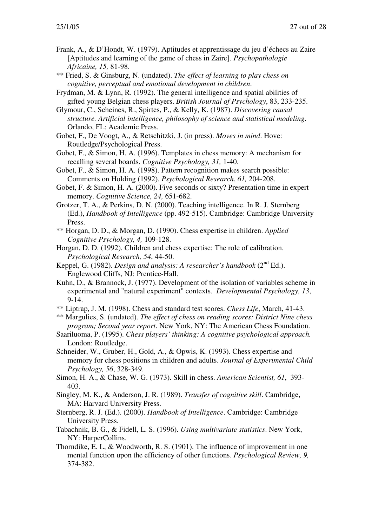- Frank, A., & D'Hondt, W. (1979). Aptitudes et apprentissage du jeu d'échecs au Zaire [Aptitudes and learning of the game of chess in Zaire]. *Psychopathologie Africaine, 15,* 81-98.
- \*\* Fried, S. & Ginsburg, N. (undated). *The effect of learning to play chess on cognitive, perceptual and emotional development in children*.
- Frydman, M. & Lynn, R. (1992). The general intelligence and spatial abilities of gifted young Belgian chess players. *British Journal of Psychology*, 83, 233-235.
- Glymour, C., Scheines, R., Spirtes, P., & Kelly, K. (1987). *Discovering causal structure. Artificial intelligence, philosophy of science and statistical modeling*. Orlando, FL: Academic Press.
- Gobet, F., De Voogt, A., & Retschitzki, J. (in press). *Moves in mind*. Hove: Routledge/Psychological Press.
- Gobet, F., & Simon, H. A. (1996). Templates in chess memory: A mechanism for recalling several boards. *Cognitive Psychology, 31,* 1-40.
- Gobet, F., & Simon, H. A. (1998). Pattern recognition makes search possible: Comments on Holding (1992). *Psychological Research*, *61,* 204-208.
- Gobet, F. & Simon, H. A. (2000). Five seconds or sixty? Presentation time in expert memory. *Cognitive Science, 24,* 651-682.
- Grotzer, T. A., & Perkins, D. N. (2000). Teaching intelligence. In R. J. Sternberg (Ed.), *Handbook of Intelligence* (pp. 492-515). Cambridge: Cambridge University Press.
- \*\* Horgan, D. D., & Morgan, D. (1990). Chess expertise in children. *Applied Cognitive Psychology, 4,* 109-128.
- Horgan, D. D. (1992). Children and chess expertise: The role of calibration. *Psychological Research, 54*, 44-50.
- Keppel, G. (1982). *Design and analysis: A researcher's handbook* (2<sup>nd</sup> Ed.). Englewood Cliffs, NJ: Prentice-Hall.
- Kuhn, D., & Brannock, J. (1977). Development of the isolation of variables scheme in experimental and "natural experiment" contexts. *Developmental Psychology, 13*, 9-14.
- \*\* Liptrap, J. M. (1998). Chess and standard test scores. *Chess Life*, March, 41-43.
- \*\* Margulies, S. (undated). *The effect of chess on reading scores: District Nine chess program; Second year report*. New York, NY: The American Chess Foundation.
- Saariluoma, P. (1995). *Chess players' thinking: A cognitive psychological approach.* London: Routledge.
- Schneider, W., Gruber, H., Gold, A., & Opwis, K. (1993). Chess expertise and memory for chess positions in children and adults. *Journal of Experimental Child Psychology, 56*, 328-349.
- Simon, H. A., & Chase, W. G. (1973). Skill in chess. *American Scientist, 61*, 393- 403.
- Singley, M. K., & Anderson, J. R. (1989). *Transfer of cognitive skill*. Cambridge, MA: Harvard University Press.
- Sternberg, R. J. (Ed.). (2000). *Handbook of Intelligence*. Cambridge: Cambridge University Press.
- Tabachnik, B. G., & Fidell, L. S. (1996). *Using multivariate statistics*. New York, NY: HarperCollins.
- Thorndike, E. L, & Woodworth, R. S. (1901). The influence of improvement in one mental function upon the efficiency of other functions. *Psychological Review, 9,* 374-382.